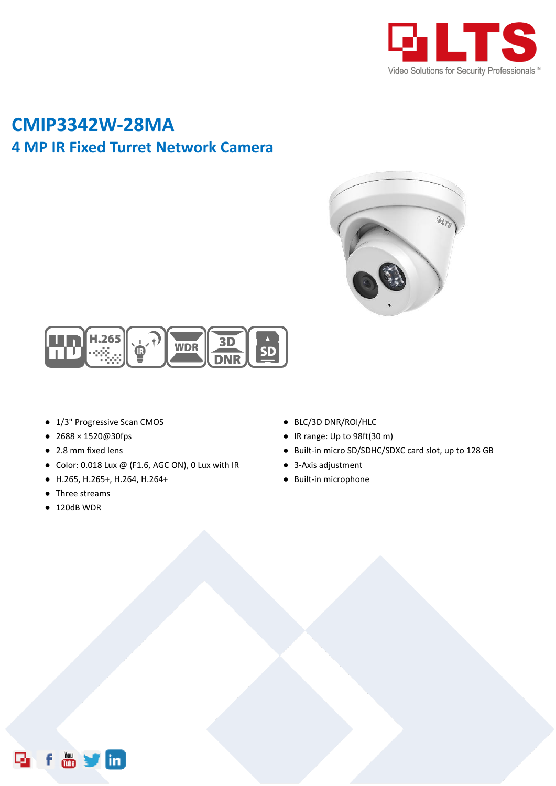

# **CMIP3342W-28MA 4 MP IR Fixed Turret Network Camera**





- 1/3" Progressive Scan CMOS
- 2688 × 1520@30fps
- 2.8 mm fixed lens
- $\bullet$  Color: 0.018 Lux @ (F1.6, AGC ON), 0 Lux with IR
- H.265, H.265+, H.264, H.264+
- Three streams
- 120dB WDR
- BLC/3D DNR/ROI/HLC
- IR range: Up to 98ft(30 m)
- Built-in micro SD/SDHC/SDXC card slot, up to 128 GB
- 3-Axis adjustment
- Built-in microphone

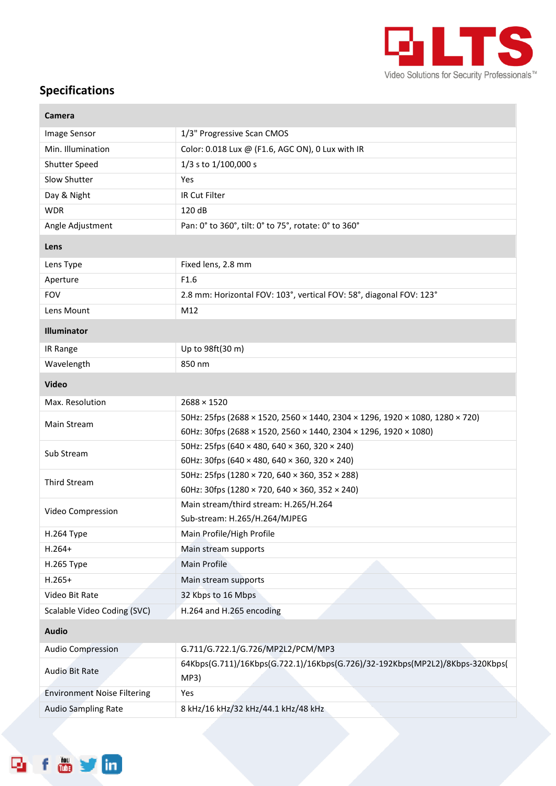

## **Specifications**

f o y in

D,

×

| <b>Camera</b>                      |                                                                                      |  |
|------------------------------------|--------------------------------------------------------------------------------------|--|
| Image Sensor                       | 1/3" Progressive Scan CMOS                                                           |  |
| Min. Illumination                  | Color: 0.018 Lux @ (F1.6, AGC ON), 0 Lux with IR                                     |  |
| Shutter Speed                      | 1/3 s to 1/100,000 s                                                                 |  |
| Slow Shutter                       | Yes                                                                                  |  |
| Day & Night                        | IR Cut Filter                                                                        |  |
| <b>WDR</b>                         | 120 dB                                                                               |  |
| Angle Adjustment                   | Pan: 0° to 360°, tilt: 0° to 75°, rotate: 0° to 360°                                 |  |
| Lens                               |                                                                                      |  |
| Lens Type                          | Fixed lens, 2.8 mm                                                                   |  |
| Aperture                           | F1.6                                                                                 |  |
| <b>FOV</b>                         | 2.8 mm: Horizontal FOV: 103°, vertical FOV: 58°, diagonal FOV: 123°                  |  |
| Lens Mount                         | M12                                                                                  |  |
| Illuminator                        |                                                                                      |  |
| IR Range                           | Up to 98ft(30 m)                                                                     |  |
| Wavelength                         | 850 nm                                                                               |  |
| <b>Video</b>                       |                                                                                      |  |
| Max. Resolution                    | $2688 \times 1520$                                                                   |  |
|                                    | 50Hz: 25fps (2688 × 1520, 2560 × 1440, 2304 × 1296, 1920 × 1080, 1280 × 720)         |  |
| Main Stream                        | 60Hz: 30fps (2688 × 1520, 2560 × 1440, 2304 × 1296, 1920 × 1080)                     |  |
| Sub Stream                         | 50Hz: 25fps (640 × 480, 640 × 360, 320 × 240)                                        |  |
|                                    | 60Hz: 30fps (640 × 480, 640 × 360, 320 × 240)                                        |  |
| <b>Third Stream</b>                | 50Hz: 25fps (1280 × 720, 640 × 360, 352 × 288)                                       |  |
|                                    | 60Hz: 30fps (1280 × 720, 640 × 360, 352 × 240)                                       |  |
| Video Compression                  | Main stream/third stream: H.265/H.264                                                |  |
| H.264 Type                         | Sub-stream: H.265/H.264/MJPEG<br>Main Profile/High Profile                           |  |
| $H.264+$                           | Main stream supports                                                                 |  |
| H.265 Type                         | Main Profile                                                                         |  |
| $H.265+$                           | Main stream supports                                                                 |  |
| Video Bit Rate                     | 32 Kbps to 16 Mbps                                                                   |  |
| Scalable Video Coding (SVC)        | H.264 and H.265 encoding                                                             |  |
|                                    |                                                                                      |  |
| <b>Audio</b>                       |                                                                                      |  |
| <b>Audio Compression</b>           | G.711/G.722.1/G.726/MP2L2/PCM/MP3                                                    |  |
| Audio Bit Rate                     | 64Kbps(G.711)/16Kbps(G.722.1)/16Kbps(G.726)/32-192Kbps(MP2L2)/8Kbps-320Kbps(<br>MP3) |  |
| <b>Environment Noise Filtering</b> | Yes                                                                                  |  |
| <b>Audio Sampling Rate</b>         | 8 kHz/16 kHz/32 kHz/44.1 kHz/48 kHz                                                  |  |
|                                    |                                                                                      |  |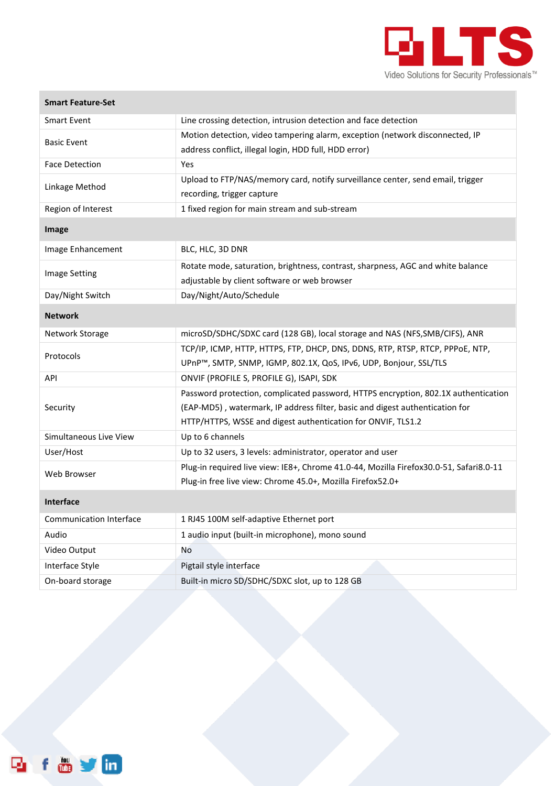

| <b>Smart Feature-Set</b>       |                                                                                        |
|--------------------------------|----------------------------------------------------------------------------------------|
| <b>Smart Event</b>             | Line crossing detection, intrusion detection and face detection                        |
| <b>Basic Event</b>             | Motion detection, video tampering alarm, exception (network disconnected, IP           |
|                                | address conflict, illegal login, HDD full, HDD error)                                  |
| <b>Face Detection</b>          | Yes                                                                                    |
| Linkage Method                 | Upload to FTP/NAS/memory card, notify surveillance center, send email, trigger         |
|                                | recording, trigger capture                                                             |
| Region of Interest             | 1 fixed region for main stream and sub-stream                                          |
| Image                          |                                                                                        |
| Image Enhancement              | BLC, HLC, 3D DNR                                                                       |
| <b>Image Setting</b>           | Rotate mode, saturation, brightness, contrast, sharpness, AGC and white balance        |
|                                | adjustable by client software or web browser                                           |
| Day/Night Switch               | Day/Night/Auto/Schedule                                                                |
| <b>Network</b>                 |                                                                                        |
| Network Storage                | microSD/SDHC/SDXC card (128 GB), local storage and NAS (NFS, SMB/CIFS), ANR            |
| Protocols                      | TCP/IP, ICMP, HTTP, HTTPS, FTP, DHCP, DNS, DDNS, RTP, RTSP, RTCP, PPPOE, NTP,          |
|                                | UPnP™, SMTP, SNMP, IGMP, 802.1X, QoS, IPv6, UDP, Bonjour, SSL/TLS                      |
| API                            | ONVIF (PROFILE S, PROFILE G), ISAPI, SDK                                               |
|                                | Password protection, complicated password, HTTPS encryption, 802.1X authentication     |
| Security                       | (EAP-MD5), watermark, IP address filter, basic and digest authentication for           |
|                                | HTTP/HTTPS, WSSE and digest authentication for ONVIF, TLS1.2                           |
| Simultaneous Live View         | Up to 6 channels                                                                       |
| User/Host                      | Up to 32 users, 3 levels: administrator, operator and user                             |
| Web Browser                    | Plug-in required live view: IE8+, Chrome 41.0-44, Mozilla Firefox30.0-51, Safari8.0-11 |
|                                | Plug-in free live view: Chrome 45.0+, Mozilla Firefox52.0+                             |
| <b>Interface</b>               |                                                                                        |
| <b>Communication Interface</b> | 1 RJ45 100M self-adaptive Ethernet port                                                |
| Audio                          | 1 audio input (built-in microphone), mono sound                                        |
| Video Output                   | No                                                                                     |
| Interface Style                | Pigtail style interface                                                                |
| On-board storage               | Built-in micro SD/SDHC/SDXC slot, up to 128 GB                                         |

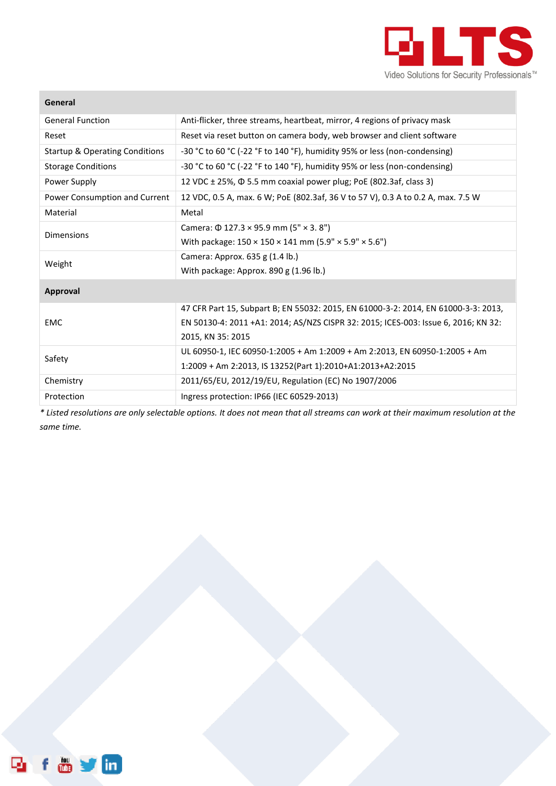

#### **General**

| <b>General Function</b>                   | Anti-flicker, three streams, heartbeat, mirror, 4 regions of privacy mask          |  |
|-------------------------------------------|------------------------------------------------------------------------------------|--|
| Reset                                     | Reset via reset button on camera body, web browser and client software             |  |
| <b>Startup &amp; Operating Conditions</b> | -30 °C to 60 °C (-22 °F to 140 °F), humidity 95% or less (non-condensing)          |  |
| <b>Storage Conditions</b>                 | -30 °C to 60 °C (-22 °F to 140 °F), humidity 95% or less (non-condensing)          |  |
| Power Supply                              | 12 VDC ± 25%, $\Phi$ 5.5 mm coaxial power plug; PoE (802.3af, class 3)             |  |
| Power Consumption and Current             | 12 VDC, 0.5 A, max. 6 W; PoE (802.3af, 36 V to 57 V), 0.3 A to 0.2 A, max. 7.5 W   |  |
| Material                                  | Metal                                                                              |  |
| <b>Dimensions</b>                         | Camera: $\Phi$ 127.3 × 95.9 mm (5" × 3.8")                                         |  |
|                                           | With package: $150 \times 150 \times 141$ mm (5.9" $\times$ 5.9" $\times$ 5.6")    |  |
| Weight                                    | Camera: Approx. 635 g (1.4 lb.)                                                    |  |
|                                           | With package: Approx. 890 g (1.96 lb.)                                             |  |
| <b>Approval</b>                           |                                                                                    |  |
| <b>EMC</b>                                | 47 CFR Part 15, Subpart B; EN 55032: 2015, EN 61000-3-2: 2014, EN 61000-3-3: 2013, |  |
|                                           | EN 50130-4: 2011 +A1: 2014; AS/NZS CISPR 32: 2015; ICES-003: Issue 6, 2016; KN 32: |  |
|                                           | 2015, KN 35: 2015                                                                  |  |
| Safety                                    | UL 60950-1, IEC 60950-1:2005 + Am 1:2009 + Am 2:2013, EN 60950-1:2005 + Am         |  |
|                                           | 1:2009 + Am 2:2013, IS 13252(Part 1):2010+A1:2013+A2:2015                          |  |
| Chemistry                                 | 2011/65/EU, 2012/19/EU, Regulation (EC) No 1907/2006                               |  |
| Protection                                | Ingress protection: IP66 (IEC 60529-2013)                                          |  |

*\* Listed resolutions are only selectable options. It does not mean that all streams can work at their maximum resolution at the same time.*